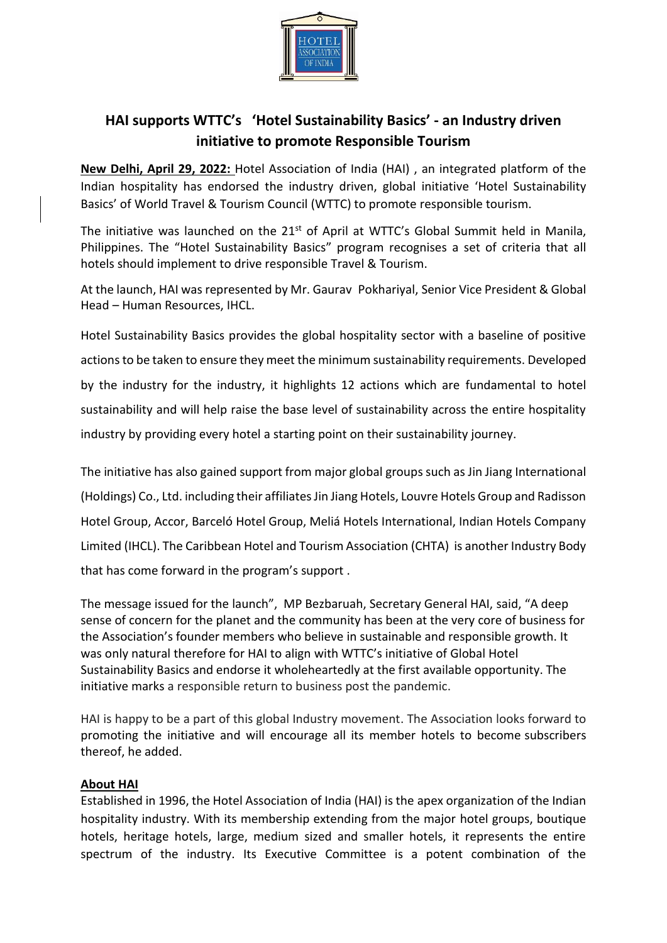

## **HAI supports WTTC's 'Hotel Sustainability Basics' - an Industry driven initiative to promote Responsible Tourism**

**New Delhi, April 29, 2022:** Hotel Association of India (HAI) , an integrated platform of the Indian hospitality has endorsed the industry driven, global initiative 'Hotel Sustainability Basics' of World Travel & Tourism Council (WTTC) to promote responsible tourism.

The initiative was launched on the  $21<sup>st</sup>$  of April at WTTC's Global Summit held in Manila, Philippines. The "Hotel Sustainability Basics" program recognises a set of criteria that all hotels should implement to drive responsible Travel & Tourism.

At the launch, HAI was represented by Mr. Gaurav Pokhariyal, Senior Vice President & Global Head – Human Resources, IHCL.

Hotel Sustainability Basics provides the global hospitality sector with a baseline of positive actions to be taken to ensure they meet the minimum sustainability requirements. Developed by the industry for the industry, it highlights 12 actions which are fundamental to hotel sustainability and will help raise the base level of sustainability across the entire hospitality industry by providing every hotel a starting point on their sustainability journey.

The initiative has also gained support from major global groups such as Jin Jiang International (Holdings) Co., Ltd. including their affiliates Jin Jiang Hotels, Louvre Hotels Group and Radisson Hotel Group, Accor, Barceló Hotel Group, Meliá Hotels International, Indian Hotels Company Limited (IHCL). The Caribbean Hotel and Tourism Association (CHTA) is another Industry Body that has come forward in the program's support .

The message issued for the launch", MP Bezbaruah, Secretary General HAI, said, "A deep sense of concern for the planet and the community has been at the very core of business for the Association's founder members who believe in sustainable and responsible growth. It was only natural therefore for HAI to align with WTTC's initiative of Global Hotel Sustainability Basics and endorse it wholeheartedly at the first available opportunity. The initiative marks a responsible return to business post the pandemic.

HAI is happy to be a part of this global Industry movement. The Association looks forward to promoting the initiative and will encourage all its member hotels to become subscribers thereof, he added.

## **About HAI**

Established in 1996, the Hotel Association of India (HAI) is the apex organization of the Indian hospitality industry. With its membership extending from the major hotel groups, boutique hotels, heritage hotels, large, medium sized and smaller hotels, it represents the entire spectrum of the industry. Its Executive Committee is a potent combination of the